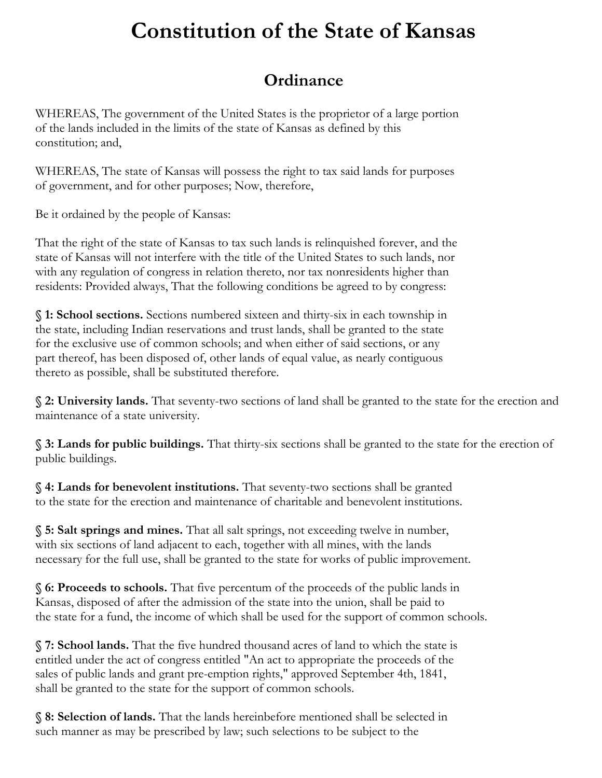# **Constitution of the State of Kansas**

# **Ordinance**

WHEREAS, The government of the United States is the proprietor of a large portion of the lands included in the limits of the state of Kansas as defined by this constitution; and,

WHEREAS, The state of Kansas will possess the right to tax said lands for purposes of government, and for other purposes; Now, therefore,

Be it ordained by the people of Kansas:

That the right of the state of Kansas to tax such lands is relinquished forever, and the state of Kansas will not interfere with the title of the United States to such lands, nor with any regulation of congress in relation thereto, nor tax nonresidents higher than residents: Provided always, That the following conditions be agreed to by congress:

**§ 1: School sections.** Sections numbered sixteen and thirty-six in each township in the state, including Indian reservations and trust lands, shall be granted to the state for the exclusive use of common schools; and when either of said sections, or any part thereof, has been disposed of, other lands of equal value, as nearly contiguous thereto as possible, shall be substituted therefore.

**§ 2: University lands.** That seventy-two sections of land shall be granted to the state for the erection and maintenance of a state university.

**§ 3: Lands for public buildings.** That thirty-six sections shall be granted to the state for the erection of public buildings.

**§ 4: Lands for benevolent institutions.** That seventy-two sections shall be granted to the state for the erection and maintenance of charitable and benevolent institutions.

**§ 5: Salt springs and mines.** That all salt springs, not exceeding twelve in number, with six sections of land adjacent to each, together with all mines, with the lands necessary for the full use, shall be granted to the state for works of public improvement.

**§ 6: Proceeds to schools.** That five percentum of the proceeds of the public lands in Kansas, disposed of after the admission of the state into the union, shall be paid to the state for a fund, the income of which shall be used for the support of common schools.

**§ 7: School lands.** That the five hundred thousand acres of land to which the state is entitled under the act of congress entitled "An act to appropriate the proceeds of the sales of public lands and grant pre-emption rights," approved September 4th, 1841, shall be granted to the state for the support of common schools.

**§ 8: Selection of lands.** That the lands hereinbefore mentioned shall be selected in such manner as may be prescribed by law; such selections to be subject to the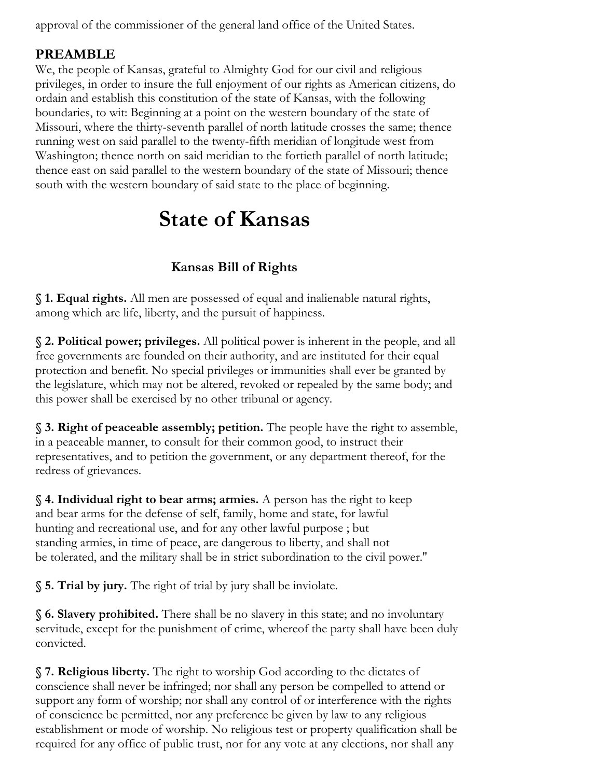approval of the commissioner of the general land office of the United States.

### **PREAMBLE**

We, the people of Kansas, grateful to Almighty God for our civil and religious privileges, in order to insure the full enjoyment of our rights as American citizens, do ordain and establish this constitution of the state of Kansas, with the following boundaries, to wit: Beginning at a point on the western boundary of the state of Missouri, where the thirty-seventh parallel of north latitude crosses the same; thence running west on said parallel to the twenty-fifth meridian of longitude west from Washington; thence north on said meridian to the fortieth parallel of north latitude; thence east on said parallel to the western boundary of the state of Missouri; thence south with the western boundary of said state to the place of beginning.

# **State of Kansas**

# **Kansas Bill of Rights**

**§ 1. Equal rights.** All men are possessed of equal and inalienable natural rights, among which are life, liberty, and the pursuit of happiness.

**§ 2. Political power; privileges.** All political power is inherent in the people, and all free governments are founded on their authority, and are instituted for their equal protection and benefit. No special privileges or immunities shall ever be granted by the legislature, which may not be altered, revoked or repealed by the same body; and this power shall be exercised by no other tribunal or agency.

**§ 3. Right of peaceable assembly; petition.** The people have the right to assemble, in a peaceable manner, to consult for their common good, to instruct their representatives, and to petition the government, or any department thereof, for the redress of grievances.

**§ 4. Individual right to bear arms; armies.** A person has the right to keep and bear arms for the defense of self, family, home and state, for lawful hunting and recreational use, and for any other lawful purpose ; but standing armies, in time of peace, are dangerous to liberty, and shall not be tolerated, and the military shall be in strict subordination to the civil power.''

**§ 5. Trial by jury.** The right of trial by jury shall be inviolate.

**§ 6. Slavery prohibited.** There shall be no slavery in this state; and no involuntary servitude, except for the punishment of crime, whereof the party shall have been duly convicted.

**§ 7. Religious liberty.** The right to worship God according to the dictates of conscience shall never be infringed; nor shall any person be compelled to attend or support any form of worship; nor shall any control of or interference with the rights of conscience be permitted, nor any preference be given by law to any religious establishment or mode of worship. No religious test or property qualification shall be required for any office of public trust, nor for any vote at any elections, nor shall any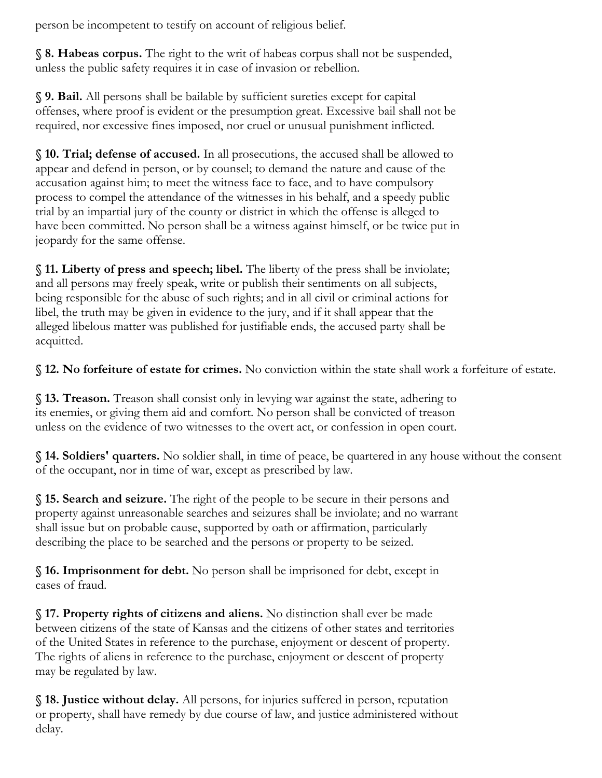person be incompetent to testify on account of religious belief.

**§ 8. Habeas corpus.** The right to the writ of habeas corpus shall not be suspended, unless the public safety requires it in case of invasion or rebellion.

**§ 9. Bail.** All persons shall be bailable by sufficient sureties except for capital offenses, where proof is evident or the presumption great. Excessive bail shall not be required, nor excessive fines imposed, nor cruel or unusual punishment inflicted.

**§ 10. Trial; defense of accused.** In all prosecutions, the accused shall be allowed to appear and defend in person, or by counsel; to demand the nature and cause of the accusation against him; to meet the witness face to face, and to have compulsory process to compel the attendance of the witnesses in his behalf, and a speedy public trial by an impartial jury of the county or district in which the offense is alleged to have been committed. No person shall be a witness against himself, or be twice put in jeopardy for the same offense.

**§ 11. Liberty of press and speech; libel.** The liberty of the press shall be inviolate; and all persons may freely speak, write or publish their sentiments on all subjects, being responsible for the abuse of such rights; and in all civil or criminal actions for libel, the truth may be given in evidence to the jury, and if it shall appear that the alleged libelous matter was published for justifiable ends, the accused party shall be acquitted.

**§ 12. No forfeiture of estate for crimes.** No conviction within the state shall work a forfeiture of estate.

**§ 13. Treason.** Treason shall consist only in levying war against the state, adhering to its enemies, or giving them aid and comfort. No person shall be convicted of treason unless on the evidence of two witnesses to the overt act, or confession in open court.

**§ 14. Soldiers' quarters.** No soldier shall, in time of peace, be quartered in any house without the consent of the occupant, nor in time of war, except as prescribed by law.

**§ 15. Search and seizure.** The right of the people to be secure in their persons and property against unreasonable searches and seizures shall be inviolate; and no warrant shall issue but on probable cause, supported by oath or affirmation, particularly describing the place to be searched and the persons or property to be seized.

**§ 16. Imprisonment for debt.** No person shall be imprisoned for debt, except in cases of fraud.

**§ 17. Property rights of citizens and aliens.** No distinction shall ever be made between citizens of the state of Kansas and the citizens of other states and territories of the United States in reference to the purchase, enjoyment or descent of property. The rights of aliens in reference to the purchase, enjoyment or descent of property may be regulated by law.

**§ 18. Justice without delay.** All persons, for injuries suffered in person, reputation or property, shall have remedy by due course of law, and justice administered without delay.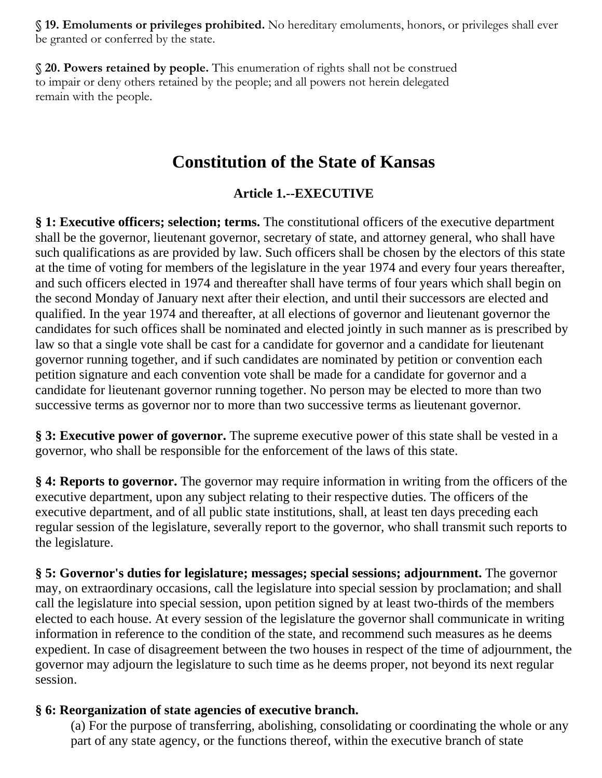**§ 19. Emoluments or privileges prohibited.** No hereditary emoluments, honors, or privileges shall ever be granted or conferred by the state.

**§ 20. Powers retained by people.** This enumeration of rights shall not be construed to impair or deny others retained by the people; and all powers not herein delegated remain with the people.

# **Constitution of the State of Kansas**

# **Article 1.--EXECUTIVE**

**§ 1: Executive officers; selection; terms.** The constitutional officers of the executive department shall be the governor, lieutenant governor, secretary of state, and attorney general, who shall have such qualifications as are provided by law. Such officers shall be chosen by the electors of this state at the time of voting for members of the legislature in the year 1974 and every four years thereafter, and such officers elected in 1974 and thereafter shall have terms of four years which shall begin on the second Monday of January next after their election, and until their successors are elected and qualified. In the year 1974 and thereafter, at all elections of governor and lieutenant governor the candidates for such offices shall be nominated and elected jointly in such manner as is prescribed by law so that a single vote shall be cast for a candidate for governor and a candidate for lieutenant governor running together, and if such candidates are nominated by petition or convention each petition signature and each convention vote shall be made for a candidate for governor and a candidate for lieutenant governor running together. No person may be elected to more than two successive terms as governor nor to more than two successive terms as lieutenant governor.

**§ 3: Executive power of governor.** The supreme executive power of this state shall be vested in a governor, who shall be responsible for the enforcement of the laws of this state.

**§ 4: Reports to governor.** The governor may require information in writing from the officers of the executive department, upon any subject relating to their respective duties. The officers of the executive department, and of all public state institutions, shall, at least ten days preceding each regular session of the legislature, severally report to the governor, who shall transmit such reports to the legislature.

**§ 5: Governor's duties for legislature; messages; special sessions; adjournment.** The governor may, on extraordinary occasions, call the legislature into special session by proclamation; and shall call the legislature into special session, upon petition signed by at least two-thirds of the members elected to each house. At every session of the legislature the governor shall communicate in writing information in reference to the condition of the state, and recommend such measures as he deems expedient. In case of disagreement between the two houses in respect of the time of adjournment, the governor may adjourn the legislature to such time as he deems proper, not beyond its next regular session.

#### **§ 6: Reorganization of state agencies of executive branch.**

(a) For the purpose of transferring, abolishing, consolidating or coordinating the whole or any part of any state agency, or the functions thereof, within the executive branch of state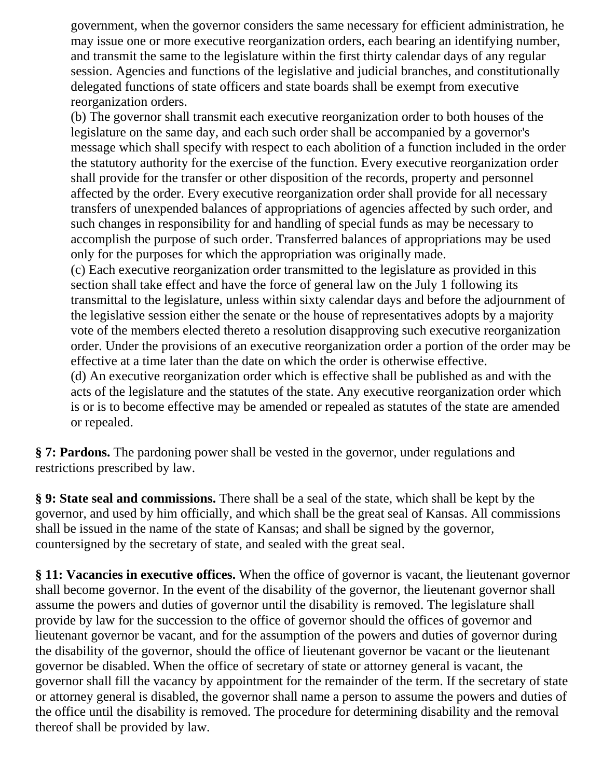government, when the governor considers the same necessary for efficient administration, he may issue one or more executive reorganization orders, each bearing an identifying number, and transmit the same to the legislature within the first thirty calendar days of any regular session. Agencies and functions of the legislative and judicial branches, and constitutionally delegated functions of state officers and state boards shall be exempt from executive reorganization orders.

(b) The governor shall transmit each executive reorganization order to both houses of the legislature on the same day, and each such order shall be accompanied by a governor's message which shall specify with respect to each abolition of a function included in the order the statutory authority for the exercise of the function. Every executive reorganization order shall provide for the transfer or other disposition of the records, property and personnel affected by the order. Every executive reorganization order shall provide for all necessary transfers of unexpended balances of appropriations of agencies affected by such order, and such changes in responsibility for and handling of special funds as may be necessary to accomplish the purpose of such order. Transferred balances of appropriations may be used only for the purposes for which the appropriation was originally made.

(c) Each executive reorganization order transmitted to the legislature as provided in this section shall take effect and have the force of general law on the July 1 following its transmittal to the legislature, unless within sixty calendar days and before the adjournment of the legislative session either the senate or the house of representatives adopts by a majority vote of the members elected thereto a resolution disapproving such executive reorganization order. Under the provisions of an executive reorganization order a portion of the order may be effective at a time later than the date on which the order is otherwise effective.

(d) An executive reorganization order which is effective shall be published as and with the acts of the legislature and the statutes of the state. Any executive reorganization order which is or is to become effective may be amended or repealed as statutes of the state are amended or repealed.

**§ 7: Pardons.** The pardoning power shall be vested in the governor, under regulations and restrictions prescribed by law.

**§ 9: State seal and commissions.** There shall be a seal of the state, which shall be kept by the governor, and used by him officially, and which shall be the great seal of Kansas. All commissions shall be issued in the name of the state of Kansas; and shall be signed by the governor, countersigned by the secretary of state, and sealed with the great seal.

**§ 11: Vacancies in executive offices.** When the office of governor is vacant, the lieutenant governor shall become governor. In the event of the disability of the governor, the lieutenant governor shall assume the powers and duties of governor until the disability is removed. The legislature shall provide by law for the succession to the office of governor should the offices of governor and lieutenant governor be vacant, and for the assumption of the powers and duties of governor during the disability of the governor, should the office of lieutenant governor be vacant or the lieutenant governor be disabled. When the office of secretary of state or attorney general is vacant, the governor shall fill the vacancy by appointment for the remainder of the term. If the secretary of state or attorney general is disabled, the governor shall name a person to assume the powers and duties of the office until the disability is removed. The procedure for determining disability and the removal thereof shall be provided by law.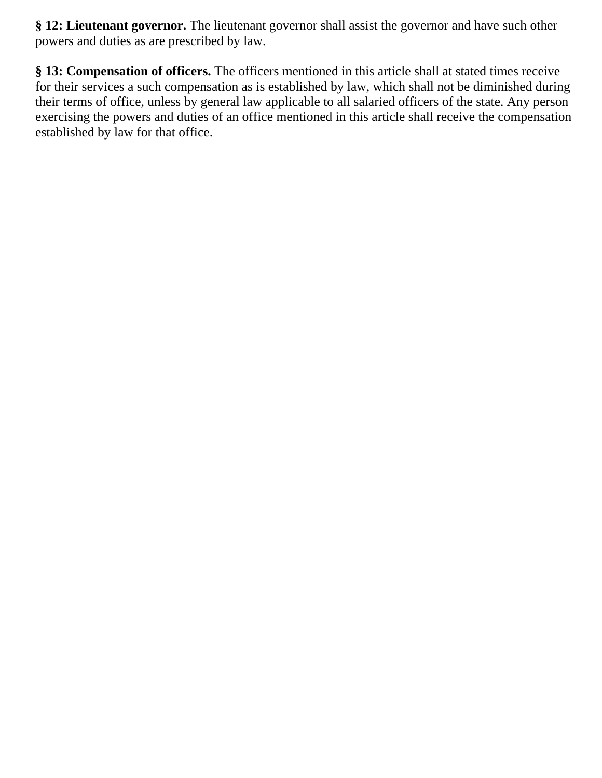**§ 12: Lieutenant governor.** The lieutenant governor shall assist the governor and have such other powers and duties as are prescribed by law.

**§ 13: Compensation of officers.** The officers mentioned in this article shall at stated times receive for their services a such compensation as is established by law, which shall not be diminished during their terms of office, unless by general law applicable to all salaried officers of the state. Any person exercising the powers and duties of an office mentioned in this article shall receive the compensation established by law for that office.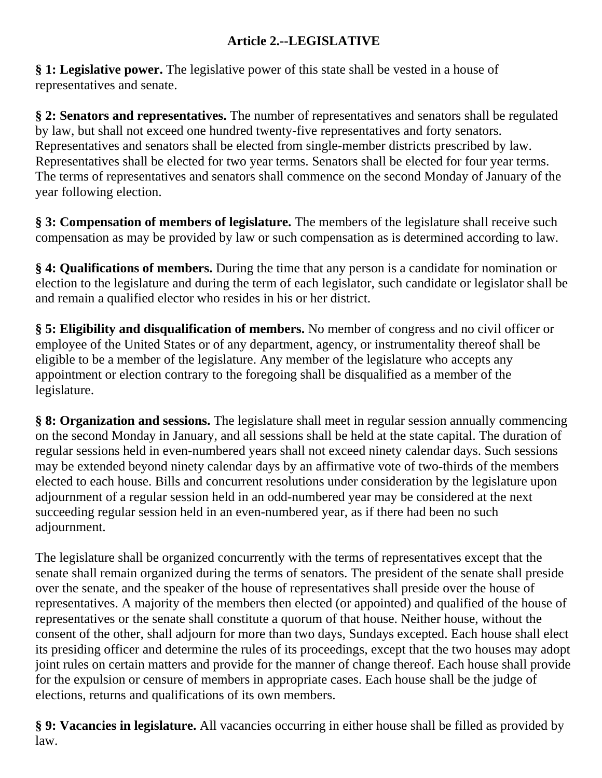# **Article 2.--LEGISLATIVE**

**§ 1: Legislative power.** The legislative power of this state shall be vested in a house of representatives and senate.

**§ 2: Senators and representatives.** The number of representatives and senators shall be regulated by law, but shall not exceed one hundred twenty-five representatives and forty senators. Representatives and senators shall be elected from single-member districts prescribed by law. Representatives shall be elected for two year terms. Senators shall be elected for four year terms. The terms of representatives and senators shall commence on the second Monday of January of the year following election.

**§ 3: Compensation of members of legislature.** The members of the legislature shall receive such compensation as may be provided by law or such compensation as is determined according to law.

**§ 4: Qualifications of members.** During the time that any person is a candidate for nomination or election to the legislature and during the term of each legislator, such candidate or legislator shall be and remain a qualified elector who resides in his or her district.

**§ 5: Eligibility and disqualification of members.** No member of congress and no civil officer or employee of the United States or of any department, agency, or instrumentality thereof shall be eligible to be a member of the legislature. Any member of the legislature who accepts any appointment or election contrary to the foregoing shall be disqualified as a member of the legislature.

**§ 8: Organization and sessions.** The legislature shall meet in regular session annually commencing on the second Monday in January, and all sessions shall be held at the state capital. The duration of regular sessions held in even-numbered years shall not exceed ninety calendar days. Such sessions may be extended beyond ninety calendar days by an affirmative vote of two-thirds of the members elected to each house. Bills and concurrent resolutions under consideration by the legislature upon adjournment of a regular session held in an odd-numbered year may be considered at the next succeeding regular session held in an even-numbered year, as if there had been no such adjournment.

The legislature shall be organized concurrently with the terms of representatives except that the senate shall remain organized during the terms of senators. The president of the senate shall preside over the senate, and the speaker of the house of representatives shall preside over the house of representatives. A majority of the members then elected (or appointed) and qualified of the house of representatives or the senate shall constitute a quorum of that house. Neither house, without the consent of the other, shall adjourn for more than two days, Sundays excepted. Each house shall elect its presiding officer and determine the rules of its proceedings, except that the two houses may adopt joint rules on certain matters and provide for the manner of change thereof. Each house shall provide for the expulsion or censure of members in appropriate cases. Each house shall be the judge of elections, returns and qualifications of its own members.

**§ 9: Vacancies in legislature.** All vacancies occurring in either house shall be filled as provided by law.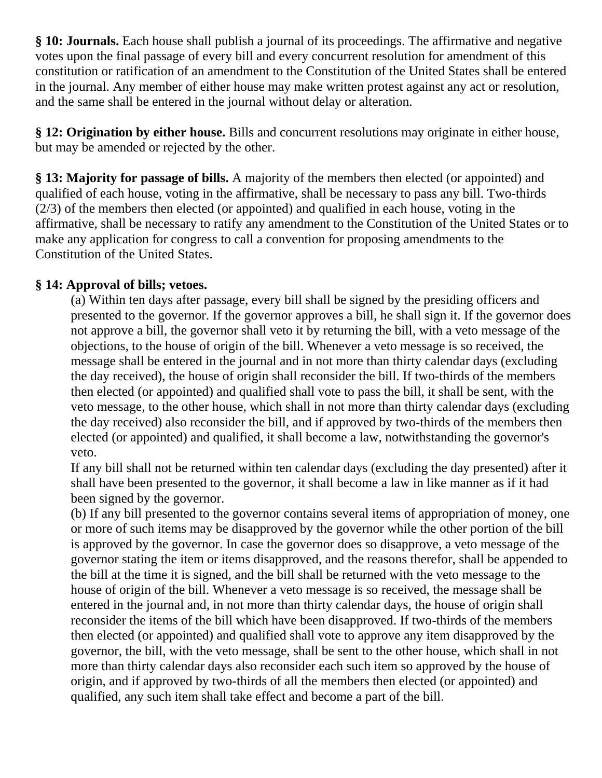**§ 10: Journals.** Each house shall publish a journal of its proceedings. The affirmative and negative votes upon the final passage of every bill and every concurrent resolution for amendment of this constitution or ratification of an amendment to the Constitution of the United States shall be entered in the journal. Any member of either house may make written protest against any act or resolution, and the same shall be entered in the journal without delay or alteration.

**§ 12: Origination by either house.** Bills and concurrent resolutions may originate in either house, but may be amended or rejected by the other.

**§ 13: Majority for passage of bills.** A majority of the members then elected (or appointed) and qualified of each house, voting in the affirmative, shall be necessary to pass any bill. Two-thirds (2/3) of the members then elected (or appointed) and qualified in each house, voting in the affirmative, shall be necessary to ratify any amendment to the Constitution of the United States or to make any application for congress to call a convention for proposing amendments to the Constitution of the United States.

#### **§ 14: Approval of bills; vetoes.**

(a) Within ten days after passage, every bill shall be signed by the presiding officers and presented to the governor. If the governor approves a bill, he shall sign it. If the governor does not approve a bill, the governor shall veto it by returning the bill, with a veto message of the objections, to the house of origin of the bill. Whenever a veto message is so received, the message shall be entered in the journal and in not more than thirty calendar days (excluding the day received), the house of origin shall reconsider the bill. If two-thirds of the members then elected (or appointed) and qualified shall vote to pass the bill, it shall be sent, with the veto message, to the other house, which shall in not more than thirty calendar days (excluding the day received) also reconsider the bill, and if approved by two-thirds of the members then elected (or appointed) and qualified, it shall become a law, notwithstanding the governor's veto.

If any bill shall not be returned within ten calendar days (excluding the day presented) after it shall have been presented to the governor, it shall become a law in like manner as if it had been signed by the governor.

(b) If any bill presented to the governor contains several items of appropriation of money, one or more of such items may be disapproved by the governor while the other portion of the bill is approved by the governor. In case the governor does so disapprove, a veto message of the governor stating the item or items disapproved, and the reasons therefor, shall be appended to the bill at the time it is signed, and the bill shall be returned with the veto message to the house of origin of the bill. Whenever a veto message is so received, the message shall be entered in the journal and, in not more than thirty calendar days, the house of origin shall reconsider the items of the bill which have been disapproved. If two-thirds of the members then elected (or appointed) and qualified shall vote to approve any item disapproved by the governor, the bill, with the veto message, shall be sent to the other house, which shall in not more than thirty calendar days also reconsider each such item so approved by the house of origin, and if approved by two-thirds of all the members then elected (or appointed) and qualified, any such item shall take effect and become a part of the bill.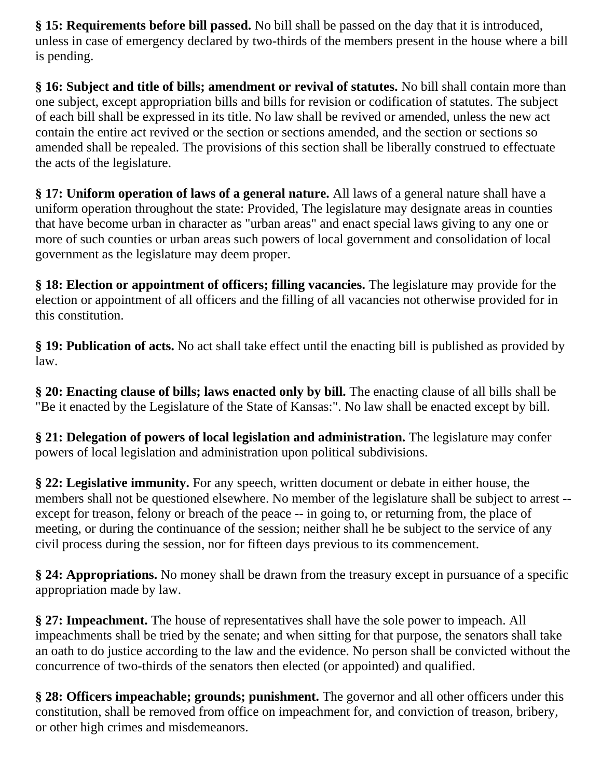**§ 15: Requirements before bill passed.** No bill shall be passed on the day that it is introduced, unless in case of emergency declared by two-thirds of the members present in the house where a bill is pending.

**§ 16: Subject and title of bills; amendment or revival of statutes.** No bill shall contain more than one subject, except appropriation bills and bills for revision or codification of statutes. The subject of each bill shall be expressed in its title. No law shall be revived or amended, unless the new act contain the entire act revived or the section or sections amended, and the section or sections so amended shall be repealed. The provisions of this section shall be liberally construed to effectuate the acts of the legislature.

**§ 17: Uniform operation of laws of a general nature.** All laws of a general nature shall have a uniform operation throughout the state: Provided, The legislature may designate areas in counties that have become urban in character as "urban areas" and enact special laws giving to any one or more of such counties or urban areas such powers of local government and consolidation of local government as the legislature may deem proper.

**§ 18: Election or appointment of officers; filling vacancies.** The legislature may provide for the election or appointment of all officers and the filling of all vacancies not otherwise provided for in this constitution.

**§ 19: Publication of acts.** No act shall take effect until the enacting bill is published as provided by law.

**§ 20: Enacting clause of bills; laws enacted only by bill.** The enacting clause of all bills shall be "Be it enacted by the Legislature of the State of Kansas:". No law shall be enacted except by bill.

**§ 21: Delegation of powers of local legislation and administration.** The legislature may confer powers of local legislation and administration upon political subdivisions.

**§ 22: Legislative immunity.** For any speech, written document or debate in either house, the members shall not be questioned elsewhere. No member of the legislature shall be subject to arrest - except for treason, felony or breach of the peace -- in going to, or returning from, the place of meeting, or during the continuance of the session; neither shall he be subject to the service of any civil process during the session, nor for fifteen days previous to its commencement.

**§ 24: Appropriations.** No money shall be drawn from the treasury except in pursuance of a specific appropriation made by law.

**§ 27: Impeachment.** The house of representatives shall have the sole power to impeach. All impeachments shall be tried by the senate; and when sitting for that purpose, the senators shall take an oath to do justice according to the law and the evidence. No person shall be convicted without the concurrence of two-thirds of the senators then elected (or appointed) and qualified.

**§ 28: Officers impeachable; grounds; punishment.** The governor and all other officers under this constitution, shall be removed from office on impeachment for, and conviction of treason, bribery, or other high crimes and misdemeanors.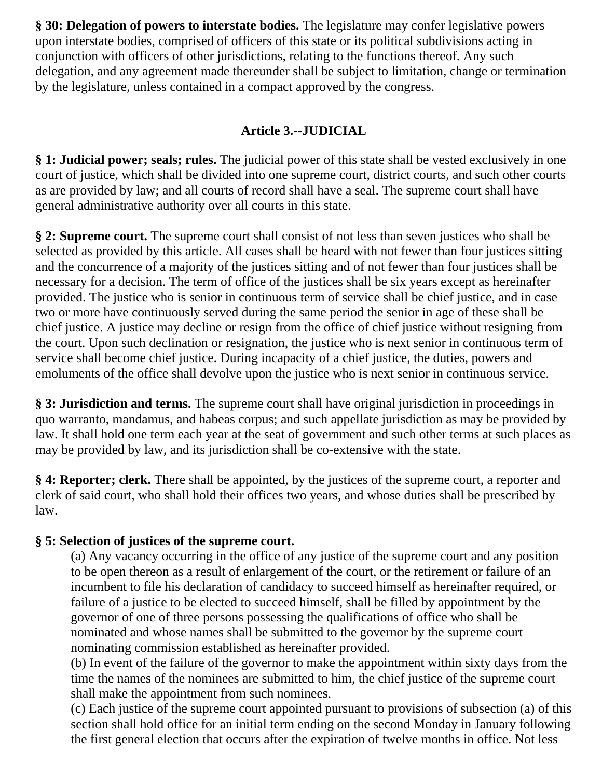**§ 30: Delegation of powers to interstate bodies.** The legislature may confer legislative powers upon interstate bodies, comprised of officers of this state or its political subdivisions acting in conjunction with officers of other jurisdictions, relating to the functions thereof. Any such delegation, and any agreement made thereunder shall be subject to limitation, change or termination by the legislature, unless contained in a compact approved by the congress.

# **Article 3.--JUDICIAL**

**§ 1: Judicial power; seals; rules.** The judicial power of this state shall be vested exclusively in one court of justice, which shall be divided into one supreme court, district courts, and such other courts as are provided by law; and all courts of record shall have a seal. The supreme court shall have general administrative authority over all courts in this state.

**§ 2: Supreme court.** The supreme court shall consist of not less than seven justices who shall be selected as provided by this article. All cases shall be heard with not fewer than four justices sitting and the concurrence of a majority of the justices sitting and of not fewer than four justices shall be necessary for a decision. The term of office of the justices shall be six years except as hereinafter provided. The justice who is senior in continuous term of service shall be chief justice, and in case two or more have continuously served during the same period the senior in age of these shall be chief justice. A justice may decline or resign from the office of chief justice without resigning from the court. Upon such declination or resignation, the justice who is next senior in continuous term of service shall become chief justice. During incapacity of a chief justice, the duties, powers and emoluments of the office shall devolve upon the justice who is next senior in continuous service.

**§ 3: Jurisdiction and terms.** The supreme court shall have original jurisdiction in proceedings in quo warranto, mandamus, and habeas corpus; and such appellate jurisdiction as may be provided by law. It shall hold one term each year at the seat of government and such other terms at such places as may be provided by law, and its jurisdiction shall be co-extensive with the state.

**§ 4: Reporter; clerk.** There shall be appointed, by the justices of the supreme court, a reporter and clerk of said court, who shall hold their offices two years, and whose duties shall be prescribed by law.

# **§ 5: Selection of justices of the supreme court.**

(a) Any vacancy occurring in the office of any justice of the supreme court and any position to be open thereon as a result of enlargement of the court, or the retirement or failure of an incumbent to file his declaration of candidacy to succeed himself as hereinafter required, or failure of a justice to be elected to succeed himself, shall be filled by appointment by the governor of one of three persons possessing the qualifications of office who shall be nominated and whose names shall be submitted to the governor by the supreme court nominating commission established as hereinafter provided.

(b) In event of the failure of the governor to make the appointment within sixty days from the time the names of the nominees are submitted to him, the chief justice of the supreme court shall make the appointment from such nominees.

(c) Each justice of the supreme court appointed pursuant to provisions of subsection (a) of this section shall hold office for an initial term ending on the second Monday in January following the first general election that occurs after the expiration of twelve months in office. Not less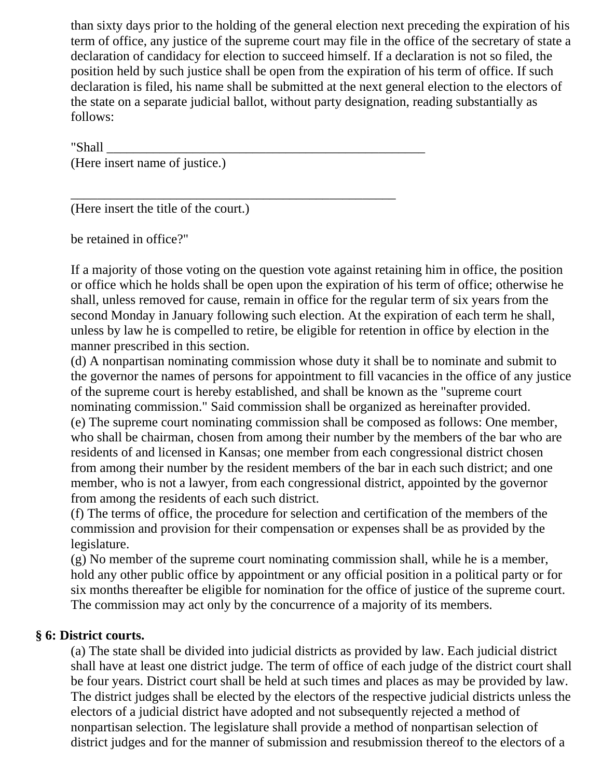than sixty days prior to the holding of the general election next preceding the expiration of his term of office, any justice of the supreme court may file in the office of the secretary of state a declaration of candidacy for election to succeed himself. If a declaration is not so filed, the position held by such justice shall be open from the expiration of his term of office. If such declaration is filed, his name shall be submitted at the next general election to the electors of the state on a separate judicial ballot, without party designation, reading substantially as follows:

"Shall \_\_\_\_\_\_\_\_\_\_\_\_\_\_\_\_\_\_\_\_\_\_\_\_\_\_\_\_\_\_\_\_\_\_\_\_\_\_\_\_\_\_\_\_\_\_\_\_ (Here insert name of justice.)

(Here insert the title of the court.)

\_\_\_\_\_\_\_\_\_\_\_\_\_\_\_\_\_\_\_\_\_\_\_\_\_\_\_\_\_\_\_\_\_\_\_\_\_\_\_\_\_\_\_\_\_\_\_\_\_

be retained in office?"

If a majority of those voting on the question vote against retaining him in office, the position or office which he holds shall be open upon the expiration of his term of office; otherwise he shall, unless removed for cause, remain in office for the regular term of six years from the second Monday in January following such election. At the expiration of each term he shall, unless by law he is compelled to retire, be eligible for retention in office by election in the manner prescribed in this section.

(d) A nonpartisan nominating commission whose duty it shall be to nominate and submit to the governor the names of persons for appointment to fill vacancies in the office of any justice of the supreme court is hereby established, and shall be known as the "supreme court nominating commission." Said commission shall be organized as hereinafter provided. (e) The supreme court nominating commission shall be composed as follows: One member, who shall be chairman, chosen from among their number by the members of the bar who are residents of and licensed in Kansas; one member from each congressional district chosen from among their number by the resident members of the bar in each such district; and one member, who is not a lawyer, from each congressional district, appointed by the governor from among the residents of each such district.

(f) The terms of office, the procedure for selection and certification of the members of the commission and provision for their compensation or expenses shall be as provided by the legislature.

(g) No member of the supreme court nominating commission shall, while he is a member, hold any other public office by appointment or any official position in a political party or for six months thereafter be eligible for nomination for the office of justice of the supreme court. The commission may act only by the concurrence of a majority of its members.

#### **§ 6: District courts.**

(a) The state shall be divided into judicial districts as provided by law. Each judicial district shall have at least one district judge. The term of office of each judge of the district court shall be four years. District court shall be held at such times and places as may be provided by law. The district judges shall be elected by the electors of the respective judicial districts unless the electors of a judicial district have adopted and not subsequently rejected a method of nonpartisan selection. The legislature shall provide a method of nonpartisan selection of district judges and for the manner of submission and resubmission thereof to the electors of a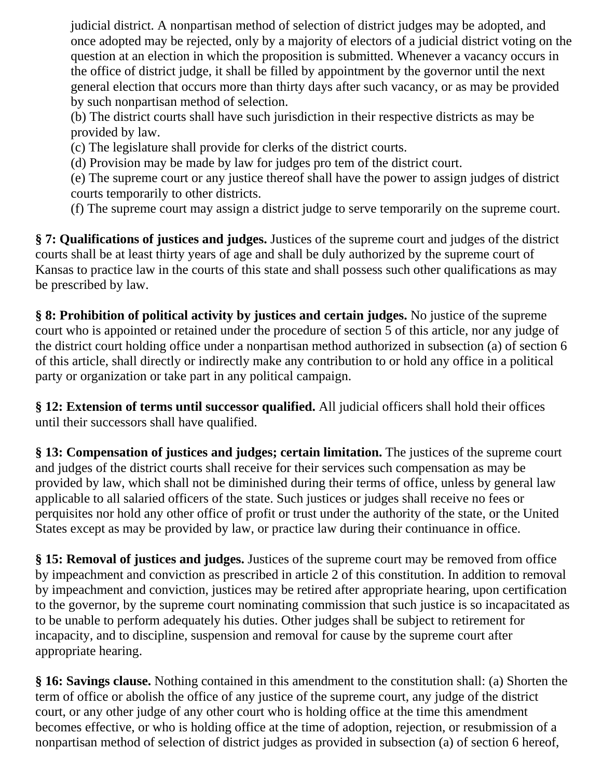judicial district. A nonpartisan method of selection of district judges may be adopted, and once adopted may be rejected, only by a majority of electors of a judicial district voting on the question at an election in which the proposition is submitted. Whenever a vacancy occurs in the office of district judge, it shall be filled by appointment by the governor until the next general election that occurs more than thirty days after such vacancy, or as may be provided by such nonpartisan method of selection.

(b) The district courts shall have such jurisdiction in their respective districts as may be provided by law.

(c) The legislature shall provide for clerks of the district courts.

(d) Provision may be made by law for judges pro tem of the district court.

(e) The supreme court or any justice thereof shall have the power to assign judges of district courts temporarily to other districts.

(f) The supreme court may assign a district judge to serve temporarily on the supreme court.

**§ 7: Qualifications of justices and judges.** Justices of the supreme court and judges of the district courts shall be at least thirty years of age and shall be duly authorized by the supreme court of Kansas to practice law in the courts of this state and shall possess such other qualifications as may be prescribed by law.

**§ 8: Prohibition of political activity by justices and certain judges.** No justice of the supreme court who is appointed or retained under the procedure of section 5 of this article, nor any judge of the district court holding office under a nonpartisan method authorized in subsection (a) of section 6 of this article, shall directly or indirectly make any contribution to or hold any office in a political party or organization or take part in any political campaign.

**§ 12: Extension of terms until successor qualified.** All judicial officers shall hold their offices until their successors shall have qualified.

**§ 13: Compensation of justices and judges; certain limitation.** The justices of the supreme court and judges of the district courts shall receive for their services such compensation as may be provided by law, which shall not be diminished during their terms of office, unless by general law applicable to all salaried officers of the state. Such justices or judges shall receive no fees or perquisites nor hold any other office of profit or trust under the authority of the state, or the United States except as may be provided by law, or practice law during their continuance in office.

**§ 15: Removal of justices and judges.** Justices of the supreme court may be removed from office by impeachment and conviction as prescribed in article 2 of this constitution. In addition to removal by impeachment and conviction, justices may be retired after appropriate hearing, upon certification to the governor, by the supreme court nominating commission that such justice is so incapacitated as to be unable to perform adequately his duties. Other judges shall be subject to retirement for incapacity, and to discipline, suspension and removal for cause by the supreme court after appropriate hearing.

**§ 16: Savings clause.** Nothing contained in this amendment to the constitution shall: (a) Shorten the term of office or abolish the office of any justice of the supreme court, any judge of the district court, or any other judge of any other court who is holding office at the time this amendment becomes effective, or who is holding office at the time of adoption, rejection, or resubmission of a nonpartisan method of selection of district judges as provided in subsection (a) of section 6 hereof,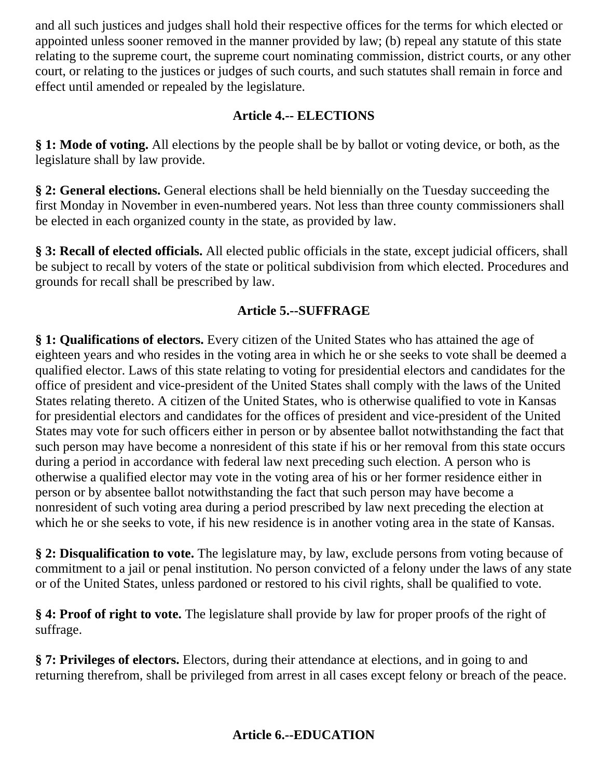and all such justices and judges shall hold their respective offices for the terms for which elected or appointed unless sooner removed in the manner provided by law; (b) repeal any statute of this state relating to the supreme court, the supreme court nominating commission, district courts, or any other court, or relating to the justices or judges of such courts, and such statutes shall remain in force and effect until amended or repealed by the legislature.

# **Article 4.-- ELECTIONS**

**§ 1: Mode of voting.** All elections by the people shall be by ballot or voting device, or both, as the legislature shall by law provide.

**§ 2: General elections.** General elections shall be held biennially on the Tuesday succeeding the first Monday in November in even-numbered years. Not less than three county commissioners shall be elected in each organized county in the state, as provided by law.

**§ 3: Recall of elected officials.** All elected public officials in the state, except judicial officers, shall be subject to recall by voters of the state or political subdivision from which elected. Procedures and grounds for recall shall be prescribed by law.

#### **Article 5.--SUFFRAGE**

**§ 1: Qualifications of electors.** Every citizen of the United States who has attained the age of eighteen years and who resides in the voting area in which he or she seeks to vote shall be deemed a qualified elector. Laws of this state relating to voting for presidential electors and candidates for the office of president and vice-president of the United States shall comply with the laws of the United States relating thereto. A citizen of the United States, who is otherwise qualified to vote in Kansas for presidential electors and candidates for the offices of president and vice-president of the United States may vote for such officers either in person or by absentee ballot notwithstanding the fact that such person may have become a nonresident of this state if his or her removal from this state occurs during a period in accordance with federal law next preceding such election. A person who is otherwise a qualified elector may vote in the voting area of his or her former residence either in person or by absentee ballot notwithstanding the fact that such person may have become a nonresident of such voting area during a period prescribed by law next preceding the election at which he or she seeks to vote, if his new residence is in another voting area in the state of Kansas.

**§ 2: Disqualification to vote.** The legislature may, by law, exclude persons from voting because of commitment to a jail or penal institution. No person convicted of a felony under the laws of any state or of the United States, unless pardoned or restored to his civil rights, shall be qualified to vote.

**§ 4: Proof of right to vote.** The legislature shall provide by law for proper proofs of the right of suffrage.

**§ 7: Privileges of electors.** Electors, during their attendance at elections, and in going to and returning therefrom, shall be privileged from arrest in all cases except felony or breach of the peace.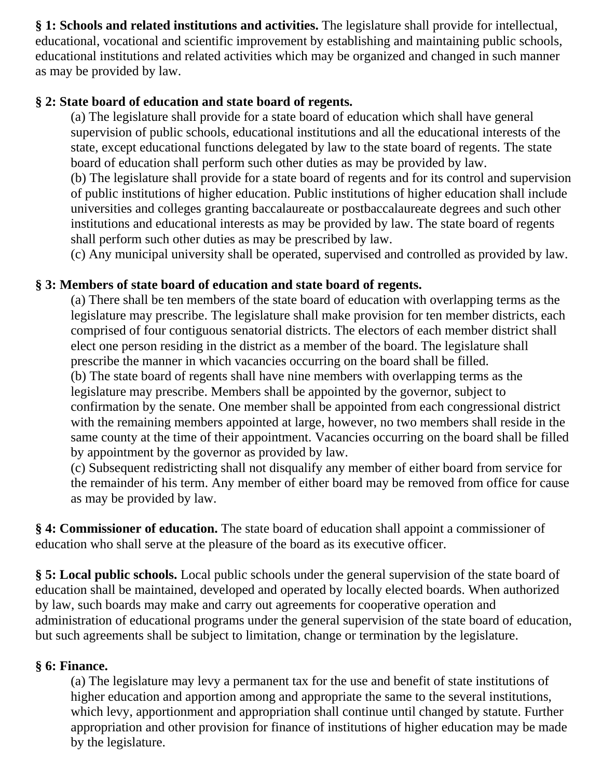**§ 1: Schools and related institutions and activities.** The legislature shall provide for intellectual, educational, vocational and scientific improvement by establishing and maintaining public schools, educational institutions and related activities which may be organized and changed in such manner as may be provided by law.

#### **§ 2: State board of education and state board of regents.**

(a) The legislature shall provide for a state board of education which shall have general supervision of public schools, educational institutions and all the educational interests of the state, except educational functions delegated by law to the state board of regents. The state board of education shall perform such other duties as may be provided by law.

(b) The legislature shall provide for a state board of regents and for its control and supervision of public institutions of higher education. Public institutions of higher education shall include universities and colleges granting baccalaureate or postbaccalaureate degrees and such other institutions and educational interests as may be provided by law. The state board of regents shall perform such other duties as may be prescribed by law.

(c) Any municipal university shall be operated, supervised and controlled as provided by law.

#### **§ 3: Members of state board of education and state board of regents.**

(a) There shall be ten members of the state board of education with overlapping terms as the legislature may prescribe. The legislature shall make provision for ten member districts, each comprised of four contiguous senatorial districts. The electors of each member district shall elect one person residing in the district as a member of the board. The legislature shall prescribe the manner in which vacancies occurring on the board shall be filled. (b) The state board of regents shall have nine members with overlapping terms as the legislature may prescribe. Members shall be appointed by the governor, subject to confirmation by the senate. One member shall be appointed from each congressional district with the remaining members appointed at large, however, no two members shall reside in the

same county at the time of their appointment. Vacancies occurring on the board shall be filled by appointment by the governor as provided by law.

(c) Subsequent redistricting shall not disqualify any member of either board from service for the remainder of his term. Any member of either board may be removed from office for cause as may be provided by law.

**§ 4: Commissioner of education.** The state board of education shall appoint a commissioner of education who shall serve at the pleasure of the board as its executive officer.

**§ 5: Local public schools.** Local public schools under the general supervision of the state board of education shall be maintained, developed and operated by locally elected boards. When authorized by law, such boards may make and carry out agreements for cooperative operation and administration of educational programs under the general supervision of the state board of education, but such agreements shall be subject to limitation, change or termination by the legislature.

#### **§ 6: Finance.**

(a) The legislature may levy a permanent tax for the use and benefit of state institutions of higher education and apportion among and appropriate the same to the several institutions, which levy, apportionment and appropriation shall continue until changed by statute. Further appropriation and other provision for finance of institutions of higher education may be made by the legislature.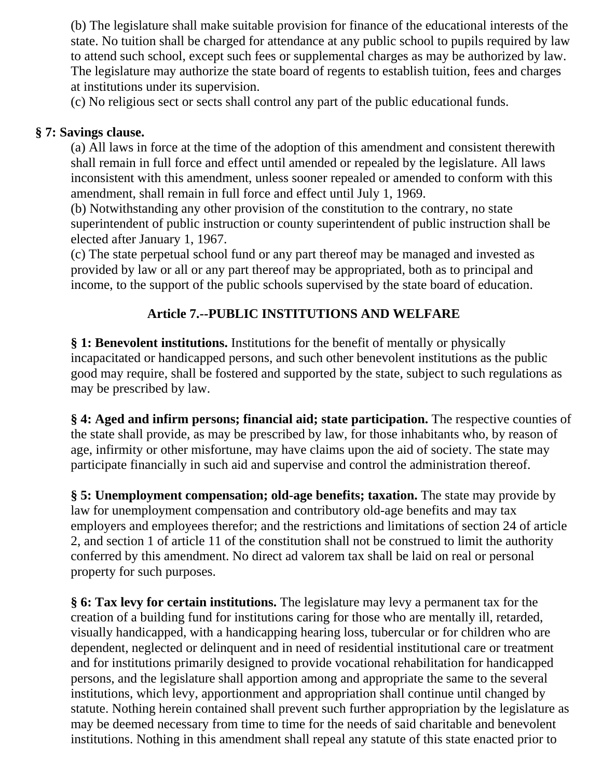(b) The legislature shall make suitable provision for finance of the educational interests of the state. No tuition shall be charged for attendance at any public school to pupils required by law to attend such school, except such fees or supplemental charges as may be authorized by law. The legislature may authorize the state board of regents to establish tuition, fees and charges at institutions under its supervision.

(c) No religious sect or sects shall control any part of the public educational funds.

#### **§ 7: Savings clause.**

(a) All laws in force at the time of the adoption of this amendment and consistent therewith shall remain in full force and effect until amended or repealed by the legislature. All laws inconsistent with this amendment, unless sooner repealed or amended to conform with this amendment, shall remain in full force and effect until July 1, 1969.

(b) Notwithstanding any other provision of the constitution to the contrary, no state superintendent of public instruction or county superintendent of public instruction shall be elected after January 1, 1967.

(c) The state perpetual school fund or any part thereof may be managed and invested as provided by law or all or any part thereof may be appropriated, both as to principal and income, to the support of the public schools supervised by the state board of education.

## **Article 7.--PUBLIC INSTITUTIONS AND WELFARE**

**§ 1: Benevolent institutions.** Institutions for the benefit of mentally or physically incapacitated or handicapped persons, and such other benevolent institutions as the public good may require, shall be fostered and supported by the state, subject to such regulations as may be prescribed by law.

**§ 4: Aged and infirm persons; financial aid; state participation.** The respective counties of the state shall provide, as may be prescribed by law, for those inhabitants who, by reason of age, infirmity or other misfortune, may have claims upon the aid of society. The state may participate financially in such aid and supervise and control the administration thereof.

**§ 5: Unemployment compensation; old-age benefits; taxation.** The state may provide by law for unemployment compensation and contributory old-age benefits and may tax employers and employees therefor; and the restrictions and limitations of section 24 of article 2, and section 1 of article 11 of the constitution shall not be construed to limit the authority conferred by this amendment. No direct ad valorem tax shall be laid on real or personal property for such purposes.

**§ 6: Tax levy for certain institutions.** The legislature may levy a permanent tax for the creation of a building fund for institutions caring for those who are mentally ill, retarded, visually handicapped, with a handicapping hearing loss, tubercular or for children who are dependent, neglected or delinquent and in need of residential institutional care or treatment and for institutions primarily designed to provide vocational rehabilitation for handicapped persons, and the legislature shall apportion among and appropriate the same to the several institutions, which levy, apportionment and appropriation shall continue until changed by statute. Nothing herein contained shall prevent such further appropriation by the legislature as may be deemed necessary from time to time for the needs of said charitable and benevolent institutions. Nothing in this amendment shall repeal any statute of this state enacted prior to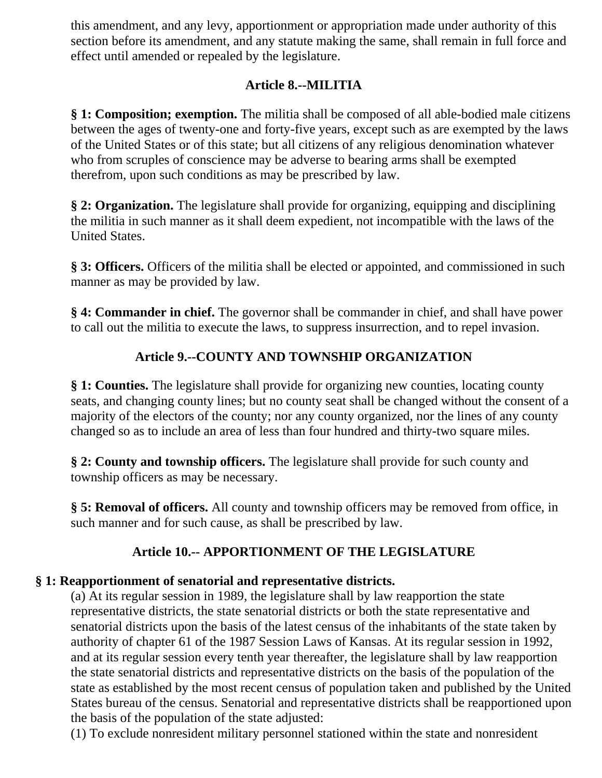this amendment, and any levy, apportionment or appropriation made under authority of this section before its amendment, and any statute making the same, shall remain in full force and effect until amended or repealed by the legislature.

## **Article 8.--MILITIA**

**§ 1: Composition; exemption.** The militia shall be composed of all able-bodied male citizens between the ages of twenty-one and forty-five years, except such as are exempted by the laws of the United States or of this state; but all citizens of any religious denomination whatever who from scruples of conscience may be adverse to bearing arms shall be exempted therefrom, upon such conditions as may be prescribed by law.

**§ 2: Organization.** The legislature shall provide for organizing, equipping and disciplining the militia in such manner as it shall deem expedient, not incompatible with the laws of the United States.

**§ 3: Officers.** Officers of the militia shall be elected or appointed, and commissioned in such manner as may be provided by law.

**§ 4: Commander in chief.** The governor shall be commander in chief, and shall have power to call out the militia to execute the laws, to suppress insurrection, and to repel invasion.

# **Article 9.--COUNTY AND TOWNSHIP ORGANIZATION**

**§ 1: Counties.** The legislature shall provide for organizing new counties, locating county seats, and changing county lines; but no county seat shall be changed without the consent of a majority of the electors of the county; nor any county organized, nor the lines of any county changed so as to include an area of less than four hundred and thirty-two square miles.

§ 2: County and township officers. The legislature shall provide for such county and township officers as may be necessary.

**§ 5: Removal of officers.** All county and township officers may be removed from office, in such manner and for such cause, as shall be prescribed by law.

#### **Article 10.-- APPORTIONMENT OF THE LEGISLATURE**

#### **§ 1: Reapportionment of senatorial and representative districts.**

(a) At its regular session in 1989, the legislature shall by law reapportion the state representative districts, the state senatorial districts or both the state representative and senatorial districts upon the basis of the latest census of the inhabitants of the state taken by authority of chapter 61 of the 1987 Session Laws of Kansas. At its regular session in 1992, and at its regular session every tenth year thereafter, the legislature shall by law reapportion the state senatorial districts and representative districts on the basis of the population of the state as established by the most recent census of population taken and published by the United States bureau of the census. Senatorial and representative districts shall be reapportioned upon the basis of the population of the state adjusted:

(1) To exclude nonresident military personnel stationed within the state and nonresident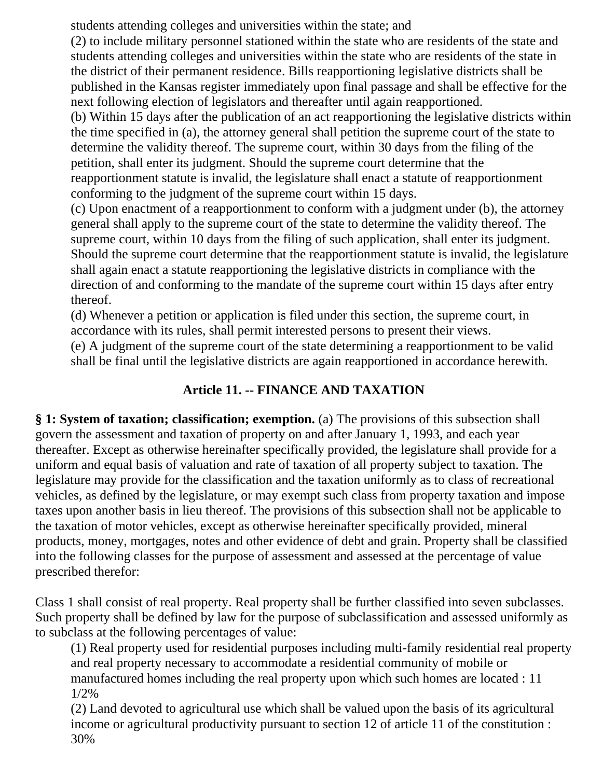students attending colleges and universities within the state; and

(2) to include military personnel stationed within the state who are residents of the state and students attending colleges and universities within the state who are residents of the state in the district of their permanent residence. Bills reapportioning legislative districts shall be published in the Kansas register immediately upon final passage and shall be effective for the next following election of legislators and thereafter until again reapportioned.

(b) Within 15 days after the publication of an act reapportioning the legislative districts within the time specified in (a), the attorney general shall petition the supreme court of the state to determine the validity thereof. The supreme court, within 30 days from the filing of the petition, shall enter its judgment. Should the supreme court determine that the reapportionment statute is invalid, the legislature shall enact a statute of reapportionment conforming to the judgment of the supreme court within 15 days.

(c) Upon enactment of a reapportionment to conform with a judgment under (b), the attorney general shall apply to the supreme court of the state to determine the validity thereof. The supreme court, within 10 days from the filing of such application, shall enter its judgment. Should the supreme court determine that the reapportionment statute is invalid, the legislature shall again enact a statute reapportioning the legislative districts in compliance with the direction of and conforming to the mandate of the supreme court within 15 days after entry thereof.

(d) Whenever a petition or application is filed under this section, the supreme court, in accordance with its rules, shall permit interested persons to present their views. (e) A judgment of the supreme court of the state determining a reapportionment to be valid shall be final until the legislative districts are again reapportioned in accordance herewith.

# **Article 11. -- FINANCE AND TAXATION**

**§ 1: System of taxation; classification; exemption.** (a) The provisions of this subsection shall govern the assessment and taxation of property on and after January 1, 1993, and each year thereafter. Except as otherwise hereinafter specifically provided, the legislature shall provide for a uniform and equal basis of valuation and rate of taxation of all property subject to taxation. The legislature may provide for the classification and the taxation uniformly as to class of recreational vehicles, as defined by the legislature, or may exempt such class from property taxation and impose taxes upon another basis in lieu thereof. The provisions of this subsection shall not be applicable to the taxation of motor vehicles, except as otherwise hereinafter specifically provided, mineral products, money, mortgages, notes and other evidence of debt and grain. Property shall be classified into the following classes for the purpose of assessment and assessed at the percentage of value prescribed therefor:

Class 1 shall consist of real property. Real property shall be further classified into seven subclasses. Such property shall be defined by law for the purpose of subclassification and assessed uniformly as to subclass at the following percentages of value:

(1) Real property used for residential purposes including multi-family residential real property and real property necessary to accommodate a residential community of mobile or manufactured homes including the real property upon which such homes are located : 11 1/2%

(2) Land devoted to agricultural use which shall be valued upon the basis of its agricultural income or agricultural productivity pursuant to section 12 of article 11 of the constitution : 30%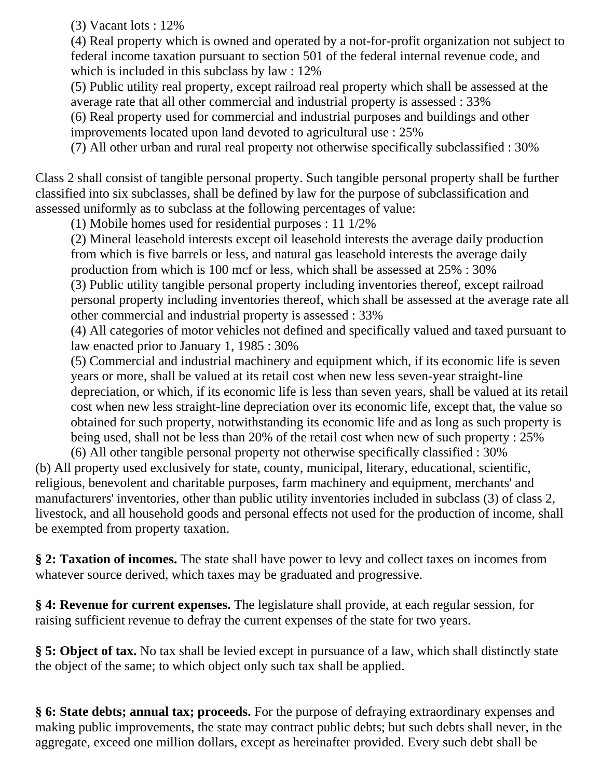(3) Vacant lots : 12%

(4) Real property which is owned and operated by a not-for-profit organization not subject to federal income taxation pursuant to section 501 of the federal internal revenue code, and which is included in this subclass by law :  $12\%$ 

(5) Public utility real property, except railroad real property which shall be assessed at the average rate that all other commercial and industrial property is assessed : 33%

(6) Real property used for commercial and industrial purposes and buildings and other improvements located upon land devoted to agricultural use : 25%

(7) All other urban and rural real property not otherwise specifically subclassified : 30%

Class 2 shall consist of tangible personal property. Such tangible personal property shall be further classified into six subclasses, shall be defined by law for the purpose of subclassification and assessed uniformly as to subclass at the following percentages of value:

(1) Mobile homes used for residential purposes : 11 1/2%

(2) Mineral leasehold interests except oil leasehold interests the average daily production from which is five barrels or less, and natural gas leasehold interests the average daily production from which is 100 mcf or less, which shall be assessed at 25% : 30%

(3) Public utility tangible personal property including inventories thereof, except railroad personal property including inventories thereof, which shall be assessed at the average rate all other commercial and industrial property is assessed : 33%

(4) All categories of motor vehicles not defined and specifically valued and taxed pursuant to law enacted prior to January 1, 1985 : 30%

(5) Commercial and industrial machinery and equipment which, if its economic life is seven years or more, shall be valued at its retail cost when new less seven-year straight-line depreciation, or which, if its economic life is less than seven years, shall be valued at its retail cost when new less straight-line depreciation over its economic life, except that, the value so obtained for such property, notwithstanding its economic life and as long as such property is being used, shall not be less than 20% of the retail cost when new of such property : 25%

(6) All other tangible personal property not otherwise specifically classified : 30% (b) All property used exclusively for state, county, municipal, literary, educational, scientific, religious, benevolent and charitable purposes, farm machinery and equipment, merchants' and manufacturers' inventories, other than public utility inventories included in subclass (3) of class 2, livestock, and all household goods and personal effects not used for the production of income, shall be exempted from property taxation.

**§ 2: Taxation of incomes.** The state shall have power to levy and collect taxes on incomes from whatever source derived, which taxes may be graduated and progressive.

**§ 4: Revenue for current expenses.** The legislature shall provide, at each regular session, for raising sufficient revenue to defray the current expenses of the state for two years.

**§ 5: Object of tax.** No tax shall be levied except in pursuance of a law, which shall distinctly state the object of the same; to which object only such tax shall be applied.

**§ 6: State debts; annual tax; proceeds.** For the purpose of defraying extraordinary expenses and making public improvements, the state may contract public debts; but such debts shall never, in the aggregate, exceed one million dollars, except as hereinafter provided. Every such debt shall be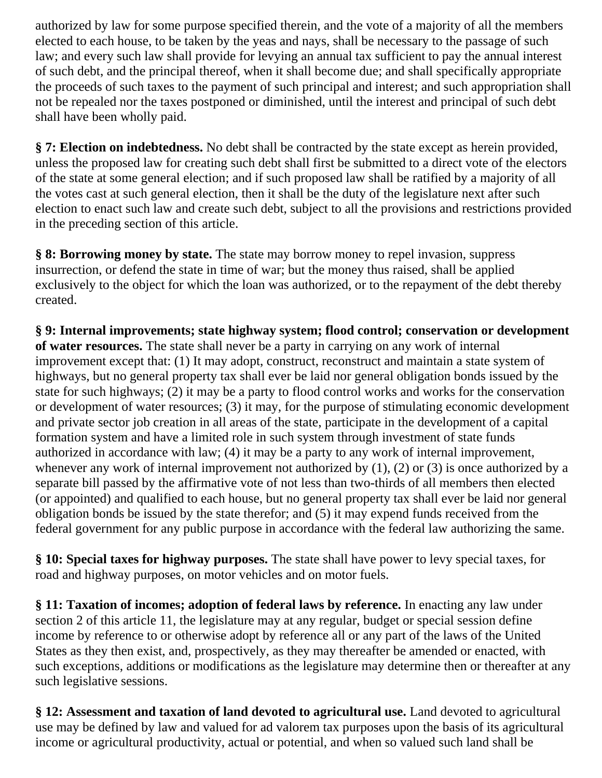authorized by law for some purpose specified therein, and the vote of a majority of all the members elected to each house, to be taken by the yeas and nays, shall be necessary to the passage of such law; and every such law shall provide for levying an annual tax sufficient to pay the annual interest of such debt, and the principal thereof, when it shall become due; and shall specifically appropriate the proceeds of such taxes to the payment of such principal and interest; and such appropriation shall not be repealed nor the taxes postponed or diminished, until the interest and principal of such debt shall have been wholly paid.

**§ 7: Election on indebtedness.** No debt shall be contracted by the state except as herein provided, unless the proposed law for creating such debt shall first be submitted to a direct vote of the electors of the state at some general election; and if such proposed law shall be ratified by a majority of all the votes cast at such general election, then it shall be the duty of the legislature next after such election to enact such law and create such debt, subject to all the provisions and restrictions provided in the preceding section of this article.

**§ 8: Borrowing money by state.** The state may borrow money to repel invasion, suppress insurrection, or defend the state in time of war; but the money thus raised, shall be applied exclusively to the object for which the loan was authorized, or to the repayment of the debt thereby created.

**§ 9: Internal improvements; state highway system; flood control; conservation or development of water resources.** The state shall never be a party in carrying on any work of internal improvement except that: (1) It may adopt, construct, reconstruct and maintain a state system of highways, but no general property tax shall ever be laid nor general obligation bonds issued by the state for such highways; (2) it may be a party to flood control works and works for the conservation or development of water resources; (3) it may, for the purpose of stimulating economic development and private sector job creation in all areas of the state, participate in the development of a capital formation system and have a limited role in such system through investment of state funds authorized in accordance with law; (4) it may be a party to any work of internal improvement, whenever any work of internal improvement not authorized by (1), (2) or (3) is once authorized by a separate bill passed by the affirmative vote of not less than two-thirds of all members then elected (or appointed) and qualified to each house, but no general property tax shall ever be laid nor general obligation bonds be issued by the state therefor; and (5) it may expend funds received from the federal government for any public purpose in accordance with the federal law authorizing the same.

**§ 10: Special taxes for highway purposes.** The state shall have power to levy special taxes, for road and highway purposes, on motor vehicles and on motor fuels.

**§ 11: Taxation of incomes; adoption of federal laws by reference.** In enacting any law under section 2 of this article 11, the legislature may at any regular, budget or special session define income by reference to or otherwise adopt by reference all or any part of the laws of the United States as they then exist, and, prospectively, as they may thereafter be amended or enacted, with such exceptions, additions or modifications as the legislature may determine then or thereafter at any such legislative sessions.

**§ 12: Assessment and taxation of land devoted to agricultural use.** Land devoted to agricultural use may be defined by law and valued for ad valorem tax purposes upon the basis of its agricultural income or agricultural productivity, actual or potential, and when so valued such land shall be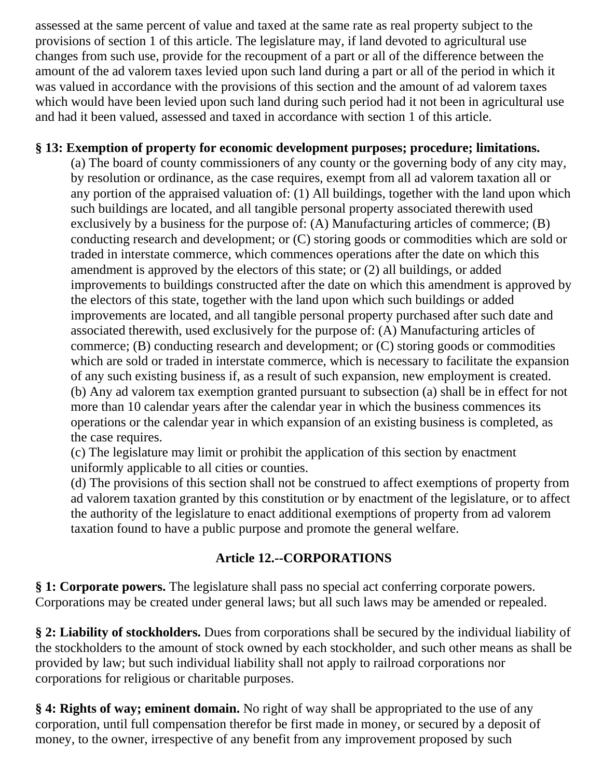assessed at the same percent of value and taxed at the same rate as real property subject to the provisions of section 1 of this article. The legislature may, if land devoted to agricultural use changes from such use, provide for the recoupment of a part or all of the difference between the amount of the ad valorem taxes levied upon such land during a part or all of the period in which it was valued in accordance with the provisions of this section and the amount of ad valorem taxes which would have been levied upon such land during such period had it not been in agricultural use and had it been valued, assessed and taxed in accordance with section 1 of this article.

#### **§ 13: Exemption of property for economic development purposes; procedure; limitations.**

(a) The board of county commissioners of any county or the governing body of any city may, by resolution or ordinance, as the case requires, exempt from all ad valorem taxation all or any portion of the appraised valuation of: (1) All buildings, together with the land upon which such buildings are located, and all tangible personal property associated therewith used exclusively by a business for the purpose of: (A) Manufacturing articles of commerce; (B) conducting research and development; or (C) storing goods or commodities which are sold or traded in interstate commerce, which commences operations after the date on which this amendment is approved by the electors of this state; or (2) all buildings, or added improvements to buildings constructed after the date on which this amendment is approved by the electors of this state, together with the land upon which such buildings or added improvements are located, and all tangible personal property purchased after such date and associated therewith, used exclusively for the purpose of: (A) Manufacturing articles of commerce; (B) conducting research and development; or (C) storing goods or commodities which are sold or traded in interstate commerce, which is necessary to facilitate the expansion of any such existing business if, as a result of such expansion, new employment is created. (b) Any ad valorem tax exemption granted pursuant to subsection (a) shall be in effect for not more than 10 calendar years after the calendar year in which the business commences its operations or the calendar year in which expansion of an existing business is completed, as the case requires.

(c) The legislature may limit or prohibit the application of this section by enactment uniformly applicable to all cities or counties.

(d) The provisions of this section shall not be construed to affect exemptions of property from ad valorem taxation granted by this constitution or by enactment of the legislature, or to affect the authority of the legislature to enact additional exemptions of property from ad valorem taxation found to have a public purpose and promote the general welfare.

#### **Article 12.--CORPORATIONS**

**§ 1: Corporate powers.** The legislature shall pass no special act conferring corporate powers. Corporations may be created under general laws; but all such laws may be amended or repealed.

**§ 2: Liability of stockholders.** Dues from corporations shall be secured by the individual liability of the stockholders to the amount of stock owned by each stockholder, and such other means as shall be provided by law; but such individual liability shall not apply to railroad corporations nor corporations for religious or charitable purposes.

**§ 4: Rights of way; eminent domain.** No right of way shall be appropriated to the use of any corporation, until full compensation therefor be first made in money, or secured by a deposit of money, to the owner, irrespective of any benefit from any improvement proposed by such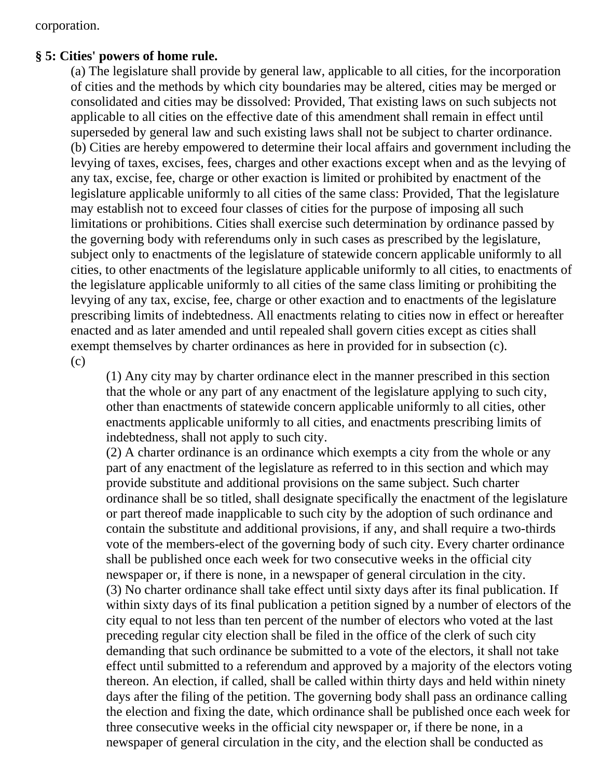## **§ 5: Cities' powers of home rule.**

(a) The legislature shall provide by general law, applicable to all cities, for the incorporation of cities and the methods by which city boundaries may be altered, cities may be merged or consolidated and cities may be dissolved: Provided, That existing laws on such subjects not applicable to all cities on the effective date of this amendment shall remain in effect until superseded by general law and such existing laws shall not be subject to charter ordinance. (b) Cities are hereby empowered to determine their local affairs and government including the levying of taxes, excises, fees, charges and other exactions except when and as the levying of any tax, excise, fee, charge or other exaction is limited or prohibited by enactment of the legislature applicable uniformly to all cities of the same class: Provided, That the legislature may establish not to exceed four classes of cities for the purpose of imposing all such limitations or prohibitions. Cities shall exercise such determination by ordinance passed by the governing body with referendums only in such cases as prescribed by the legislature, subject only to enactments of the legislature of statewide concern applicable uniformly to all cities, to other enactments of the legislature applicable uniformly to all cities, to enactments of the legislature applicable uniformly to all cities of the same class limiting or prohibiting the levying of any tax, excise, fee, charge or other exaction and to enactments of the legislature prescribing limits of indebtedness. All enactments relating to cities now in effect or hereafter enacted and as later amended and until repealed shall govern cities except as cities shall exempt themselves by charter ordinances as here in provided for in subsection (c). (c)

(1) Any city may by charter ordinance elect in the manner prescribed in this section that the whole or any part of any enactment of the legislature applying to such city, other than enactments of statewide concern applicable uniformly to all cities, other enactments applicable uniformly to all cities, and enactments prescribing limits of indebtedness, shall not apply to such city.

(2) A charter ordinance is an ordinance which exempts a city from the whole or any part of any enactment of the legislature as referred to in this section and which may provide substitute and additional provisions on the same subject. Such charter ordinance shall be so titled, shall designate specifically the enactment of the legislature or part thereof made inapplicable to such city by the adoption of such ordinance and contain the substitute and additional provisions, if any, and shall require a two-thirds vote of the members-elect of the governing body of such city. Every charter ordinance shall be published once each week for two consecutive weeks in the official city newspaper or, if there is none, in a newspaper of general circulation in the city. (3) No charter ordinance shall take effect until sixty days after its final publication. If within sixty days of its final publication a petition signed by a number of electors of the city equal to not less than ten percent of the number of electors who voted at the last preceding regular city election shall be filed in the office of the clerk of such city demanding that such ordinance be submitted to a vote of the electors, it shall not take effect until submitted to a referendum and approved by a majority of the electors voting thereon. An election, if called, shall be called within thirty days and held within ninety days after the filing of the petition. The governing body shall pass an ordinance calling the election and fixing the date, which ordinance shall be published once each week for three consecutive weeks in the official city newspaper or, if there be none, in a newspaper of general circulation in the city, and the election shall be conducted as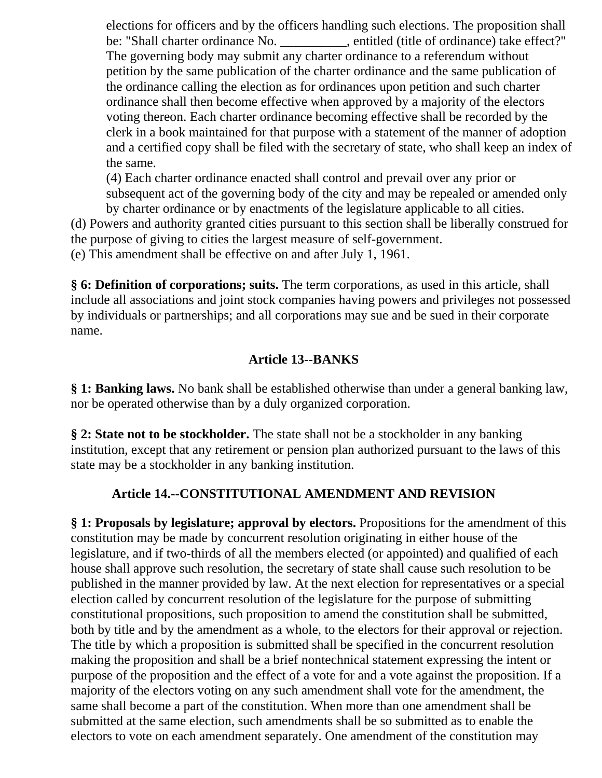elections for officers and by the officers handling such elections. The proposition shall be: "Shall charter ordinance No. \_\_\_\_\_\_\_\_\_, entitled (title of ordinance) take effect?" The governing body may submit any charter ordinance to a referendum without petition by the same publication of the charter ordinance and the same publication of the ordinance calling the election as for ordinances upon petition and such charter ordinance shall then become effective when approved by a majority of the electors voting thereon. Each charter ordinance becoming effective shall be recorded by the clerk in a book maintained for that purpose with a statement of the manner of adoption and a certified copy shall be filed with the secretary of state, who shall keep an index of the same.

(4) Each charter ordinance enacted shall control and prevail over any prior or subsequent act of the governing body of the city and may be repealed or amended only by charter ordinance or by enactments of the legislature applicable to all cities.

(d) Powers and authority granted cities pursuant to this section shall be liberally construed for the purpose of giving to cities the largest measure of self-government.

(e) This amendment shall be effective on and after July 1, 1961.

**§ 6: Definition of corporations; suits.** The term corporations, as used in this article, shall include all associations and joint stock companies having powers and privileges not possessed by individuals or partnerships; and all corporations may sue and be sued in their corporate name.

#### **Article 13--BANKS**

**§ 1: Banking laws.** No bank shall be established otherwise than under a general banking law, nor be operated otherwise than by a duly organized corporation.

**§ 2: State not to be stockholder.** The state shall not be a stockholder in any banking institution, except that any retirement or pension plan authorized pursuant to the laws of this state may be a stockholder in any banking institution.

#### **Article 14.--CONSTITUTIONAL AMENDMENT AND REVISION**

**§ 1: Proposals by legislature; approval by electors.** Propositions for the amendment of this constitution may be made by concurrent resolution originating in either house of the legislature, and if two-thirds of all the members elected (or appointed) and qualified of each house shall approve such resolution, the secretary of state shall cause such resolution to be published in the manner provided by law. At the next election for representatives or a special election called by concurrent resolution of the legislature for the purpose of submitting constitutional propositions, such proposition to amend the constitution shall be submitted, both by title and by the amendment as a whole, to the electors for their approval or rejection. The title by which a proposition is submitted shall be specified in the concurrent resolution making the proposition and shall be a brief nontechnical statement expressing the intent or purpose of the proposition and the effect of a vote for and a vote against the proposition. If a majority of the electors voting on any such amendment shall vote for the amendment, the same shall become a part of the constitution. When more than one amendment shall be submitted at the same election, such amendments shall be so submitted as to enable the electors to vote on each amendment separately. One amendment of the constitution may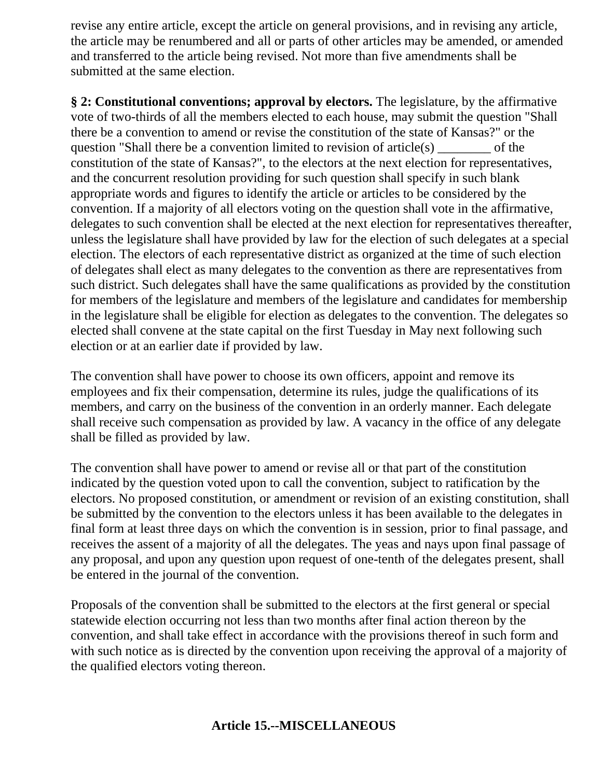revise any entire article, except the article on general provisions, and in revising any article, the article may be renumbered and all or parts of other articles may be amended, or amended and transferred to the article being revised. Not more than five amendments shall be submitted at the same election.

**§ 2: Constitutional conventions; approval by electors.** The legislature, by the affirmative vote of two-thirds of all the members elected to each house, may submit the question "Shall there be a convention to amend or revise the constitution of the state of Kansas?" or the question "Shall there be a convention limited to revision of article(s) of the constitution of the state of Kansas?", to the electors at the next election for representatives, and the concurrent resolution providing for such question shall specify in such blank appropriate words and figures to identify the article or articles to be considered by the convention. If a majority of all electors voting on the question shall vote in the affirmative, delegates to such convention shall be elected at the next election for representatives thereafter, unless the legislature shall have provided by law for the election of such delegates at a special election. The electors of each representative district as organized at the time of such election of delegates shall elect as many delegates to the convention as there are representatives from such district. Such delegates shall have the same qualifications as provided by the constitution for members of the legislature and members of the legislature and candidates for membership in the legislature shall be eligible for election as delegates to the convention. The delegates so elected shall convene at the state capital on the first Tuesday in May next following such election or at an earlier date if provided by law.

The convention shall have power to choose its own officers, appoint and remove its employees and fix their compensation, determine its rules, judge the qualifications of its members, and carry on the business of the convention in an orderly manner. Each delegate shall receive such compensation as provided by law. A vacancy in the office of any delegate shall be filled as provided by law.

The convention shall have power to amend or revise all or that part of the constitution indicated by the question voted upon to call the convention, subject to ratification by the electors. No proposed constitution, or amendment or revision of an existing constitution, shall be submitted by the convention to the electors unless it has been available to the delegates in final form at least three days on which the convention is in session, prior to final passage, and receives the assent of a majority of all the delegates. The yeas and nays upon final passage of any proposal, and upon any question upon request of one-tenth of the delegates present, shall be entered in the journal of the convention.

Proposals of the convention shall be submitted to the electors at the first general or special statewide election occurring not less than two months after final action thereon by the convention, and shall take effect in accordance with the provisions thereof in such form and with such notice as is directed by the convention upon receiving the approval of a majority of the qualified electors voting thereon.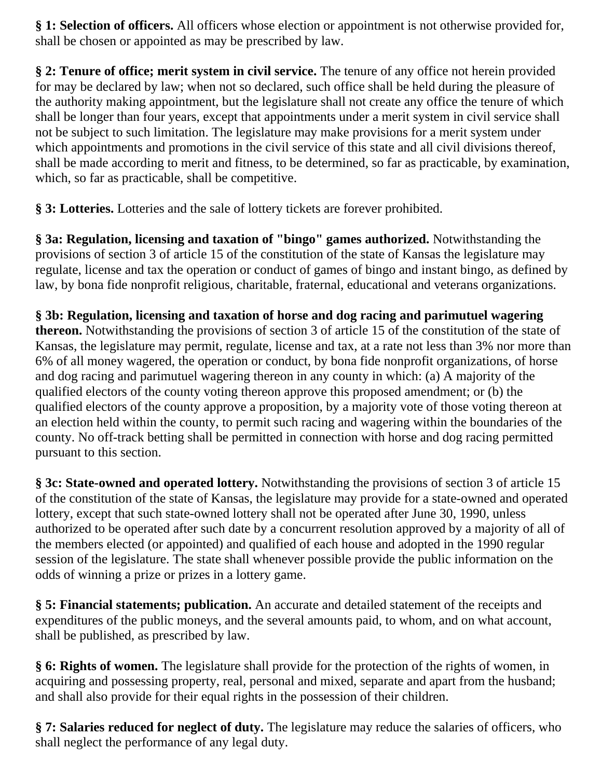**§ 1: Selection of officers.** All officers whose election or appointment is not otherwise provided for, shall be chosen or appointed as may be prescribed by law.

**§ 2: Tenure of office; merit system in civil service.** The tenure of any office not herein provided for may be declared by law; when not so declared, such office shall be held during the pleasure of the authority making appointment, but the legislature shall not create any office the tenure of which shall be longer than four years, except that appointments under a merit system in civil service shall not be subject to such limitation. The legislature may make provisions for a merit system under which appointments and promotions in the civil service of this state and all civil divisions thereof, shall be made according to merit and fitness, to be determined, so far as practicable, by examination, which, so far as practicable, shall be competitive.

**§ 3: Lotteries.** Lotteries and the sale of lottery tickets are forever prohibited.

**§ 3a: Regulation, licensing and taxation of "bingo" games authorized.** Notwithstanding the provisions of section 3 of article 15 of the constitution of the state of Kansas the legislature may regulate, license and tax the operation or conduct of games of bingo and instant bingo, as defined by law, by bona fide nonprofit religious, charitable, fraternal, educational and veterans organizations.

**§ 3b: Regulation, licensing and taxation of horse and dog racing and parimutuel wagering thereon.** Notwithstanding the provisions of section 3 of article 15 of the constitution of the state of Kansas, the legislature may permit, regulate, license and tax, at a rate not less than 3% nor more than 6% of all money wagered, the operation or conduct, by bona fide nonprofit organizations, of horse and dog racing and parimutuel wagering thereon in any county in which: (a) A majority of the qualified electors of the county voting thereon approve this proposed amendment; or (b) the qualified electors of the county approve a proposition, by a majority vote of those voting thereon at an election held within the county, to permit such racing and wagering within the boundaries of the county. No off-track betting shall be permitted in connection with horse and dog racing permitted pursuant to this section.

**§ 3c: State-owned and operated lottery.** Notwithstanding the provisions of section 3 of article 15 of the constitution of the state of Kansas, the legislature may provide for a state-owned and operated lottery, except that such state-owned lottery shall not be operated after June 30, 1990, unless authorized to be operated after such date by a concurrent resolution approved by a majority of all of the members elected (or appointed) and qualified of each house and adopted in the 1990 regular session of the legislature. The state shall whenever possible provide the public information on the odds of winning a prize or prizes in a lottery game.

**§ 5: Financial statements; publication.** An accurate and detailed statement of the receipts and expenditures of the public moneys, and the several amounts paid, to whom, and on what account, shall be published, as prescribed by law.

**§ 6: Rights of women.** The legislature shall provide for the protection of the rights of women, in acquiring and possessing property, real, personal and mixed, separate and apart from the husband; and shall also provide for their equal rights in the possession of their children.

**§ 7: Salaries reduced for neglect of duty.** The legislature may reduce the salaries of officers, who shall neglect the performance of any legal duty.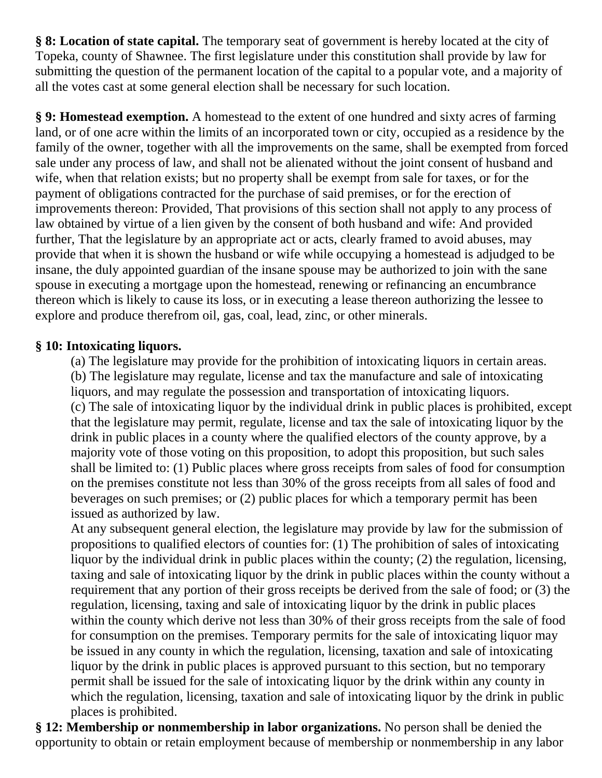**§ 8: Location of state capital.** The temporary seat of government is hereby located at the city of Topeka, county of Shawnee. The first legislature under this constitution shall provide by law for submitting the question of the permanent location of the capital to a popular vote, and a majority of all the votes cast at some general election shall be necessary for such location.

**§ 9: Homestead exemption.** A homestead to the extent of one hundred and sixty acres of farming land, or of one acre within the limits of an incorporated town or city, occupied as a residence by the family of the owner, together with all the improvements on the same, shall be exempted from forced sale under any process of law, and shall not be alienated without the joint consent of husband and wife, when that relation exists; but no property shall be exempt from sale for taxes, or for the payment of obligations contracted for the purchase of said premises, or for the erection of improvements thereon: Provided, That provisions of this section shall not apply to any process of law obtained by virtue of a lien given by the consent of both husband and wife: And provided further, That the legislature by an appropriate act or acts, clearly framed to avoid abuses, may provide that when it is shown the husband or wife while occupying a homestead is adjudged to be insane, the duly appointed guardian of the insane spouse may be authorized to join with the sane spouse in executing a mortgage upon the homestead, renewing or refinancing an encumbrance thereon which is likely to cause its loss, or in executing a lease thereon authorizing the lessee to explore and produce therefrom oil, gas, coal, lead, zinc, or other minerals.

#### **§ 10: Intoxicating liquors.**

(a) The legislature may provide for the prohibition of intoxicating liquors in certain areas. (b) The legislature may regulate, license and tax the manufacture and sale of intoxicating liquors, and may regulate the possession and transportation of intoxicating liquors. (c) The sale of intoxicating liquor by the individual drink in public places is prohibited, except that the legislature may permit, regulate, license and tax the sale of intoxicating liquor by the drink in public places in a county where the qualified electors of the county approve, by a majority vote of those voting on this proposition, to adopt this proposition, but such sales shall be limited to: (1) Public places where gross receipts from sales of food for consumption on the premises constitute not less than 30% of the gross receipts from all sales of food and beverages on such premises; or (2) public places for which a temporary permit has been issued as authorized by law.

At any subsequent general election, the legislature may provide by law for the submission of propositions to qualified electors of counties for: (1) The prohibition of sales of intoxicating liquor by the individual drink in public places within the county; (2) the regulation, licensing, taxing and sale of intoxicating liquor by the drink in public places within the county without a requirement that any portion of their gross receipts be derived from the sale of food; or (3) the regulation, licensing, taxing and sale of intoxicating liquor by the drink in public places within the county which derive not less than 30% of their gross receipts from the sale of food for consumption on the premises. Temporary permits for the sale of intoxicating liquor may be issued in any county in which the regulation, licensing, taxation and sale of intoxicating liquor by the drink in public places is approved pursuant to this section, but no temporary permit shall be issued for the sale of intoxicating liquor by the drink within any county in which the regulation, licensing, taxation and sale of intoxicating liquor by the drink in public places is prohibited.

**§ 12: Membership or nonmembership in labor organizations.** No person shall be denied the opportunity to obtain or retain employment because of membership or nonmembership in any labor